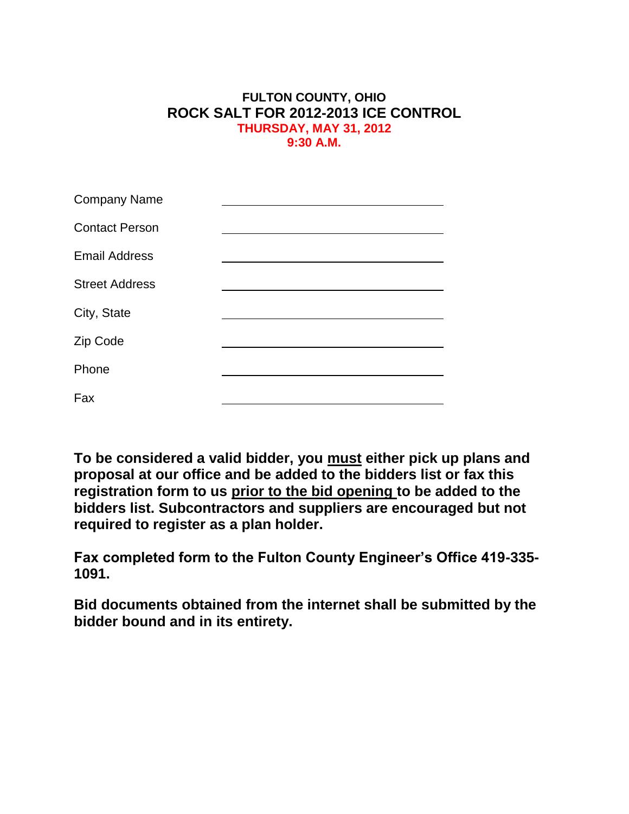## **FULTON COUNTY, OHIO ROCK SALT FOR 2012-2013 ICE CONTROL THURSDAY, MAY 31, 2012 9:30 A.M.**

| <b>Company Name</b>   |  |
|-----------------------|--|
| <b>Contact Person</b> |  |
| <b>Email Address</b>  |  |
| <b>Street Address</b> |  |
| City, State           |  |
| Zip Code              |  |
| Phone                 |  |
| Fax                   |  |

**To be considered a valid bidder, you must either pick up plans and proposal at our office and be added to the bidders list or fax this registration form to us prior to the bid opening to be added to the bidders list. Subcontractors and suppliers are encouraged but not required to register as a plan holder.**

**Fax completed form to the Fulton County Engineer's Office 419-335- 1091.**

**Bid documents obtained from the internet shall be submitted by the bidder bound and in its entirety.**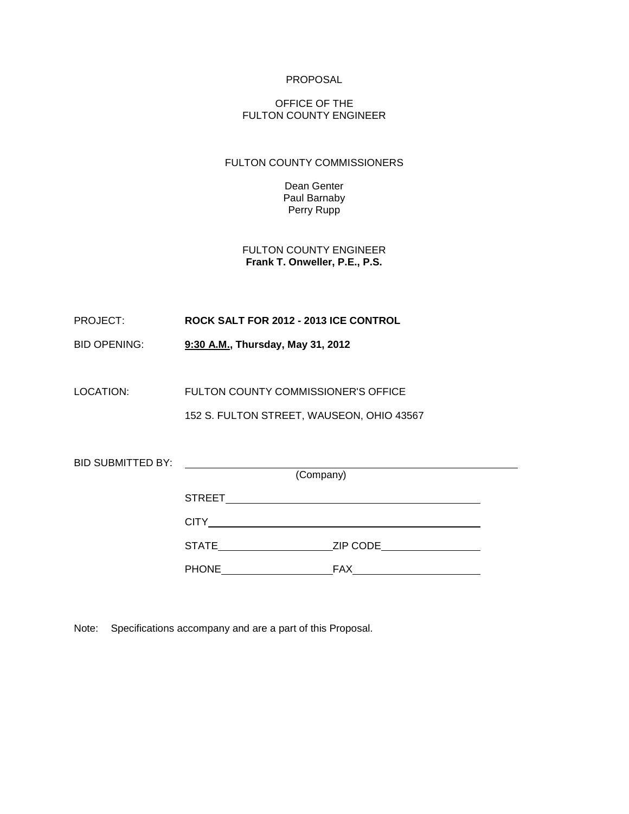#### PROPOSAL

#### OFFICE OF THE FULTON COUNTY ENGINEER

#### FULTON COUNTY COMMISSIONERS

Dean Genter Paul Barnaby Perry Rupp

FULTON COUNTY ENGINEER **Frank T. Onweller, P.E., P.S.**

PROJECT: **ROCK SALT FOR 2012 - 2013 ICE CONTROL**

BID OPENING: **9:30 A.M., Thursday, May 31, 2012** 

LOCATION: FULTON COUNTY COMMISSIONER'S OFFICE

152 S. FULTON STREET, WAUSEON, OHIO 43567

| <b>BID SUBMITTED BY:</b> |                  |           |          |  |
|--------------------------|------------------|-----------|----------|--|
|                          |                  | (Company) |          |  |
|                          | <b>STREET</b>    |           |          |  |
|                          | <b>CITY CITY</b> |           |          |  |
|                          | <b>STATE</b>     |           | ZIP CODE |  |
|                          | <b>PHONE</b>     |           | FAX      |  |

Note: Specifications accompany and are a part of this Proposal.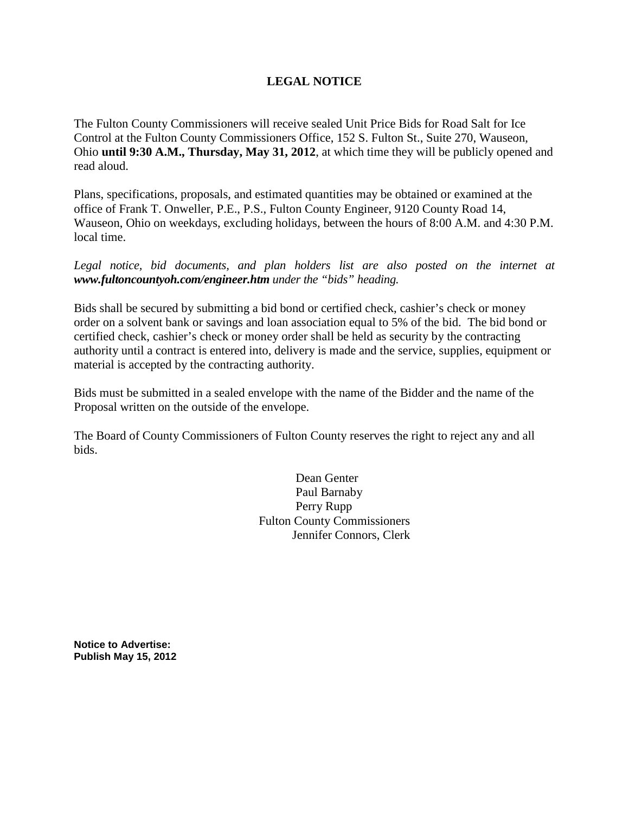## **LEGAL NOTICE**

The Fulton County Commissioners will receive sealed Unit Price Bids for Road Salt for Ice Control at the Fulton County Commissioners Office, 152 S. Fulton St., Suite 270, Wauseon, Ohio **until 9:30 A.M., Thursday, May 31, 2012**, at which time they will be publicly opened and read aloud.

Plans, specifications, proposals, and estimated quantities may be obtained or examined at the office of Frank T. Onweller, P.E., P.S., Fulton County Engineer, 9120 County Road 14, Wauseon, Ohio on weekdays, excluding holidays, between the hours of 8:00 A.M. and 4:30 P.M. local time.

Legal notice, bid documents, and plan holders list are also posted on the internet at *www.fultoncountyoh.com/engineer.htm under the "bids" heading.*

Bids shall be secured by submitting a bid bond or certified check, cashier's check or money order on a solvent bank or savings and loan association equal to 5% of the bid. The bid bond or certified check, cashier's check or money order shall be held as security by the contracting authority until a contract is entered into, delivery is made and the service, supplies, equipment or material is accepted by the contracting authority.

Bids must be submitted in a sealed envelope with the name of the Bidder and the name of the Proposal written on the outside of the envelope.

The Board of County Commissioners of Fulton County reserves the right to reject any and all bids.

> Dean Genter Paul Barnaby Perry Rupp Fulton County Commissioners Jennifer Connors, Clerk

**Notice to Advertise: Publish May 15, 2012**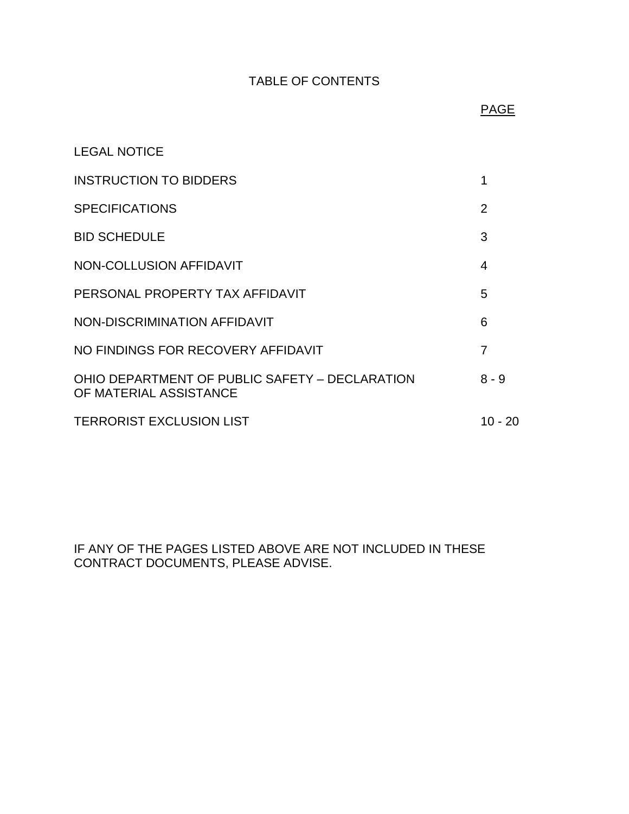## TABLE OF CONTENTS

## ing the contract of the contract of the contract of the contract of the contract of the contract of the contract of the contract of the contract of the contract of the contract of the contract of the contract of the contra

| <b>LEGAL NOTICE</b>                                                      |                |
|--------------------------------------------------------------------------|----------------|
| <b>INSTRUCTION TO BIDDERS</b>                                            | 1              |
| <b>SPECIFICATIONS</b>                                                    | $\overline{2}$ |
| <b>BID SCHEDULE</b>                                                      | 3              |
| NON-COLLUSION AFFIDAVIT                                                  | 4              |
| PERSONAL PROPERTY TAX AFFIDAVIT                                          | 5              |
| NON-DISCRIMINATION AFFIDAVIT                                             | 6              |
| NO FINDINGS FOR RECOVERY AFFIDAVIT                                       | 7              |
| OHIO DEPARTMENT OF PUBLIC SAFETY - DECLARATION<br>OF MATERIAL ASSISTANCE | $8 - 9$        |
| <b>TERRORIST EXCLUSION LIST</b>                                          | 10 - 20        |

IF ANY OF THE PAGES LISTED ABOVE ARE NOT INCLUDED IN THESE CONTRACT DOCUMENTS, PLEASE ADVISE.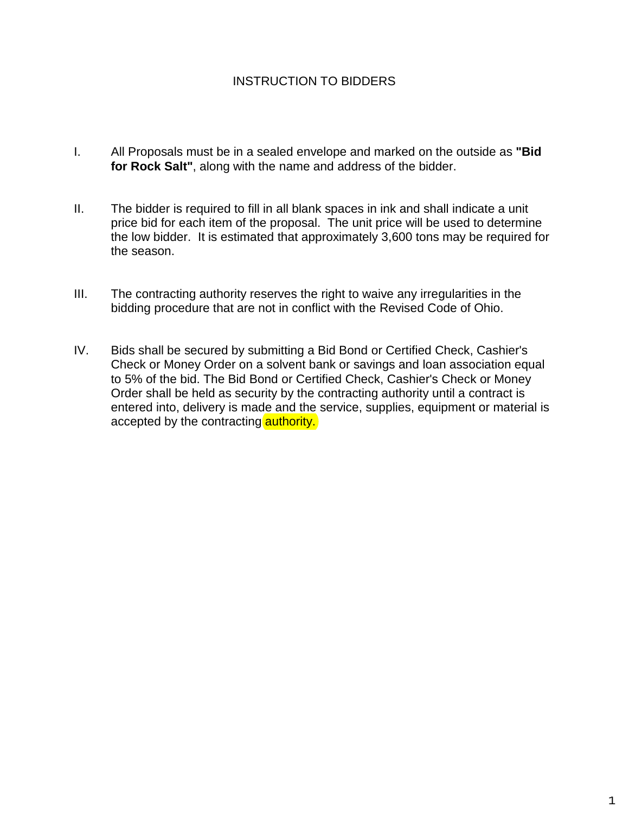## INSTRUCTION TO BIDDERS

- I. All Proposals must be in a sealed envelope and marked on the outside as **"Bid for Rock Salt"**, along with the name and address of the bidder.
- II. The bidder is required to fill in all blank spaces in ink and shall indicate a unit price bid for each item of the proposal. The unit price will be used to determine the low bidder. It is estimated that approximately 3,600 tons may be required for the season.
- III. The contracting authority reserves the right to waive any irregularities in the bidding procedure that are not in conflict with the Revised Code of Ohio.
- IV. Bids shall be secured by submitting a Bid Bond or Certified Check, Cashier's Check or Money Order on a solvent bank or savings and loan association equal to 5% of the bid. The Bid Bond or Certified Check, Cashier's Check or Money Order shall be held as security by the contracting authority until a contract is entered into, delivery is made and the service, supplies, equipment or material is accepted by the contracting **authority.**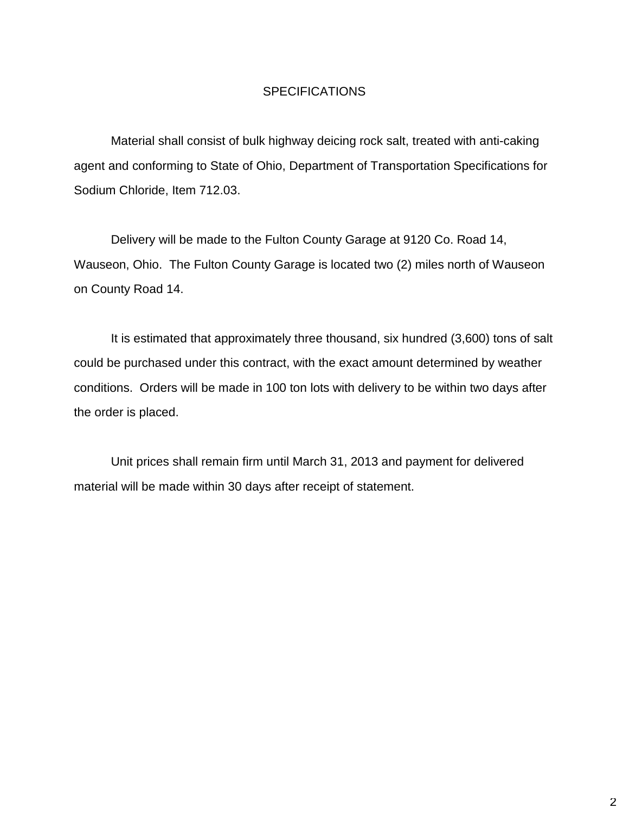## **SPECIFICATIONS**

Material shall consist of bulk highway deicing rock salt, treated with anti-caking agent and conforming to State of Ohio, Department of Transportation Specifications for Sodium Chloride, Item 712.03.

Delivery will be made to the Fulton County Garage at 9120 Co. Road 14, Wauseon, Ohio. The Fulton County Garage is located two (2) miles north of Wauseon on County Road 14.

It is estimated that approximately three thousand, six hundred (3,600) tons of salt could be purchased under this contract, with the exact amount determined by weather conditions. Orders will be made in 100 ton lots with delivery to be within two days after the order is placed.

Unit prices shall remain firm until March 31, 2013 and payment for delivered material will be made within 30 days after receipt of statement.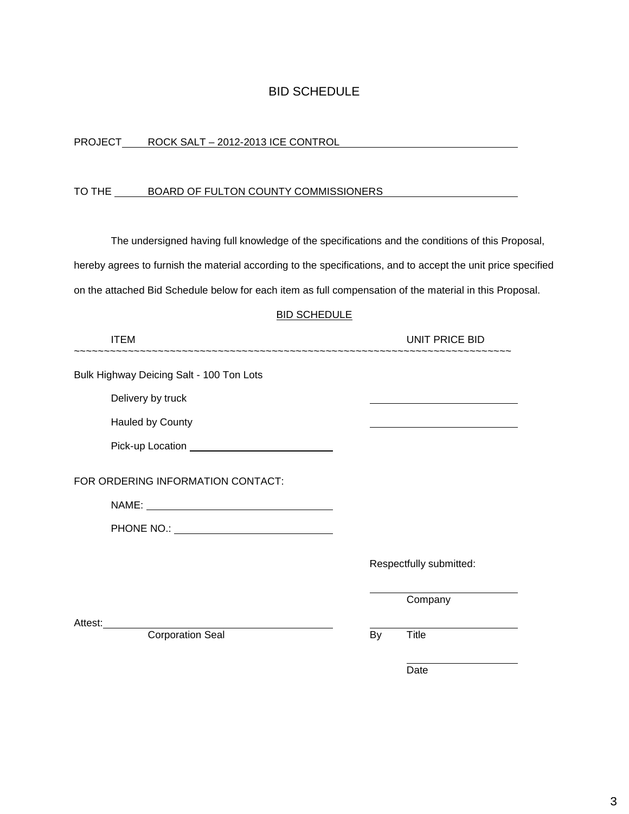## BID SCHEDULE

| <b>PROJECT</b> | ROCK SALT - 2012-2013 ICE CONTROL |
|----------------|-----------------------------------|
|                |                                   |

### TO THE BOARD OF FULTON COUNTY COMMISSIONERS

The undersigned having full knowledge of the specifications and the conditions of this Proposal, hereby agrees to furnish the material according to the specifications, and to accept the unit price specified

on the attached Bid Schedule below for each item as full compensation of the material in this Proposal.

#### BID SCHEDULE

| <b>ITEM</b>                                       | UNIT PRICE BID                                                                            |
|---------------------------------------------------|-------------------------------------------------------------------------------------------|
| Bulk Highway Deicing Salt - 100 Ton Lots          |                                                                                           |
| Delivery by truck                                 |                                                                                           |
| <b>Hauled by County</b>                           | the control of the control of the control of the control of the control of the control of |
|                                                   |                                                                                           |
| FOR ORDERING INFORMATION CONTACT:                 |                                                                                           |
|                                                   |                                                                                           |
| PHONE NO.: <u>_______________________________</u> |                                                                                           |
|                                                   | Respectfully submitted:                                                                   |
|                                                   | Company                                                                                   |
| Attest:                                           |                                                                                           |
| <b>Corporation Seal</b>                           | Title<br>By                                                                               |

discussion of the contract of the contract of the contract of the contract of the contract of the contract of the contract of the contract of the contract of the contract of the contract of the contract of the contract of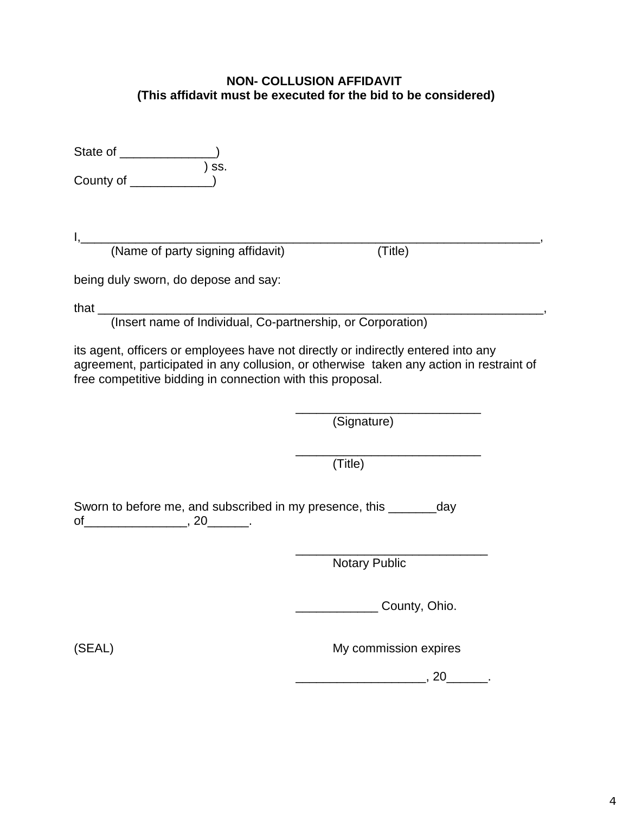## **NON- COLLUSION AFFIDAVIT (This affidavit must be executed for the bid to be considered)**

| State of  |       |
|-----------|-------|
|           | ) ss. |
| County of |       |

I,\_\_\_\_\_\_\_\_\_\_\_\_\_\_\_\_\_\_\_\_\_\_\_\_\_\_\_\_\_\_\_\_\_\_\_\_\_\_\_\_\_\_\_\_\_\_\_\_\_\_\_\_\_\_\_\_\_\_\_\_\_\_\_\_\_\_\_, (Name of party signing affidavit) (Title)

being duly sworn, do depose and say:

that \_\_\_\_\_\_\_\_\_\_\_\_\_\_\_\_\_\_\_\_\_\_\_\_\_\_\_\_\_\_\_\_\_\_\_\_\_\_\_\_\_\_\_\_\_\_\_\_\_\_\_\_\_\_\_\_\_\_\_\_\_\_\_\_\_, (Insert name of Individual, Co-partnership, or Corporation)

its agent, officers or employees have not directly or indirectly entered into any agreement, participated in any collusion, or otherwise taken any action in restraint of free competitive bidding in connection with this proposal.

 $\frac{1}{\sqrt{2\pi}}$  ,  $\frac{1}{\sqrt{2\pi}}$  ,  $\frac{1}{\sqrt{2\pi}}$  ,  $\frac{1}{\sqrt{2\pi}}$  ,  $\frac{1}{\sqrt{2\pi}}$  ,  $\frac{1}{\sqrt{2\pi}}$  ,  $\frac{1}{\sqrt{2\pi}}$  ,  $\frac{1}{\sqrt{2\pi}}$  ,  $\frac{1}{\sqrt{2\pi}}$  ,  $\frac{1}{\sqrt{2\pi}}$  ,  $\frac{1}{\sqrt{2\pi}}$  ,  $\frac{1}{\sqrt{2\pi}}$  ,  $\frac{1}{\sqrt{2\pi}}$  , (Signature)

 $\frac{1}{\sqrt{2\pi}}$  , which is a set of the set of the set of the set of the set of the set of the set of the set of the set of the set of the set of the set of the set of the set of the set of the set of the set of the set of (Title)

Sworn to before me, and subscribed in my presence, this \_\_\_\_\_\_\_day  $of$  \_\_\_\_\_\_\_\_\_\_\_\_\_\_\_\_\_\_\_\_\_, 20\_\_\_\_\_\_\_\_.

 $\frac{1}{\sqrt{2\pi}}$  ,  $\frac{1}{\sqrt{2\pi}}$  ,  $\frac{1}{\sqrt{2\pi}}$  ,  $\frac{1}{\sqrt{2\pi}}$  ,  $\frac{1}{\sqrt{2\pi}}$  ,  $\frac{1}{\sqrt{2\pi}}$  ,  $\frac{1}{\sqrt{2\pi}}$  ,  $\frac{1}{\sqrt{2\pi}}$  ,  $\frac{1}{\sqrt{2\pi}}$  ,  $\frac{1}{\sqrt{2\pi}}$  ,  $\frac{1}{\sqrt{2\pi}}$  ,  $\frac{1}{\sqrt{2\pi}}$  ,  $\frac{1}{\sqrt{2\pi}}$  , Notary Public

\_\_\_\_\_\_\_\_\_\_\_\_ County, Ohio.

(SEAL) My commission expires

\_\_\_\_\_\_\_\_\_\_\_\_\_\_\_\_\_\_\_, 20\_\_\_\_\_\_.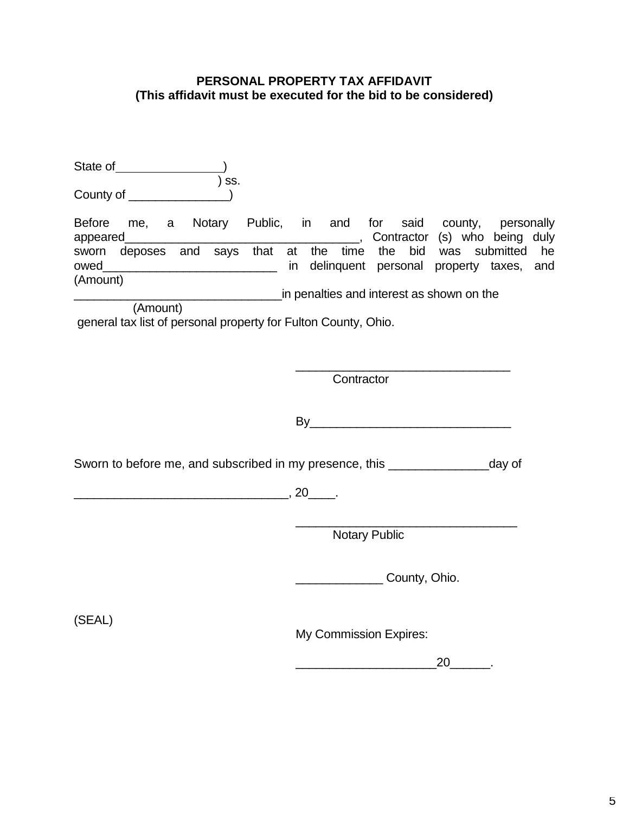## **PERSONAL PROPERTY TAX AFFIDAVIT (This affidavit must be executed for the bid to be considered)**

| ) SS.                                                                                                                      |                                                                                                                                                                                 |
|----------------------------------------------------------------------------------------------------------------------------|---------------------------------------------------------------------------------------------------------------------------------------------------------------------------------|
| (Amount)<br><u> 1990 - Johann Barnett, f</u><br>(Amount)<br>general tax list of personal property for Fulton County, Ohio. | Before me, a Notary Public, in and for said county, personally<br>sworn deposes and says that at the time the bid was submitted he<br>in penalties and interest as shown on the |
|                                                                                                                            | Contractor                                                                                                                                                                      |
|                                                                                                                            | By                                                                                                                                                                              |
|                                                                                                                            | Sworn to before me, and subscribed in my presence, this _______________________day of                                                                                           |
| $\sim$ , 20 $\sim$                                                                                                         |                                                                                                                                                                                 |
|                                                                                                                            | <b>Notary Public</b>                                                                                                                                                            |
|                                                                                                                            | County, Ohio.                                                                                                                                                                   |
| (SEAL)                                                                                                                     | My Commission Expires:                                                                                                                                                          |
|                                                                                                                            | $20 \qquad \qquad$                                                                                                                                                              |
|                                                                                                                            |                                                                                                                                                                                 |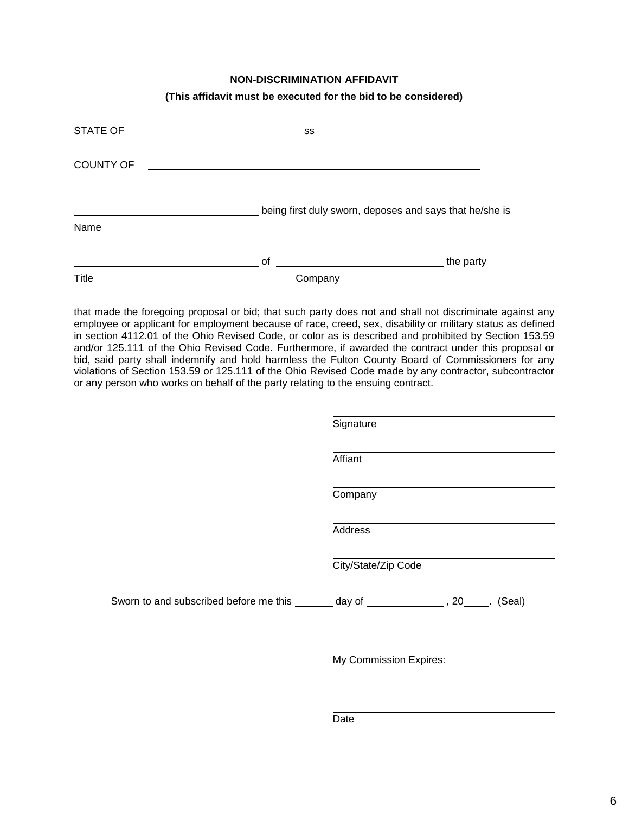#### **NON-DISCRIMINATION AFFIDAVIT**

| (This affidavit must be executed for the bid to be considered) |  |
|----------------------------------------------------------------|--|
|----------------------------------------------------------------|--|

| <b>STATE OF</b>  | SS      |                                                         |
|------------------|---------|---------------------------------------------------------|
| <b>COUNTY OF</b> |         |                                                         |
| Name             |         | being first duly sworn, deposes and says that he/she is |
|                  | of      | the party                                               |
| Title            | Company |                                                         |

that made the foregoing proposal or bid; that such party does not and shall not discriminate against any employee or applicant for employment because of race, creed, sex, disability or military status as defined in section 4112.01 of the Ohio Revised Code, or color as is described and prohibited by Section 153.59 and/or 125.111 of the Ohio Revised Code. Furthermore, if awarded the contract under this proposal or bid, said party shall indemnify and hold harmless the Fulton County Board of Commissioners for any violations of Section 153.59 or 125.111 of the Ohio Revised Code made by any contractor, subcontractor or any person who works on behalf of the party relating to the ensuing contract.

|                                                                                         | Signature           |
|-----------------------------------------------------------------------------------------|---------------------|
|                                                                                         | Affiant             |
|                                                                                         | Company             |
|                                                                                         | Address             |
|                                                                                         | City/State/Zip Code |
| Sworn to and subscribed before me this _______ day of ________________, 20_____. (Seal) |                     |
|                                                                                         |                     |

My Commission Expires: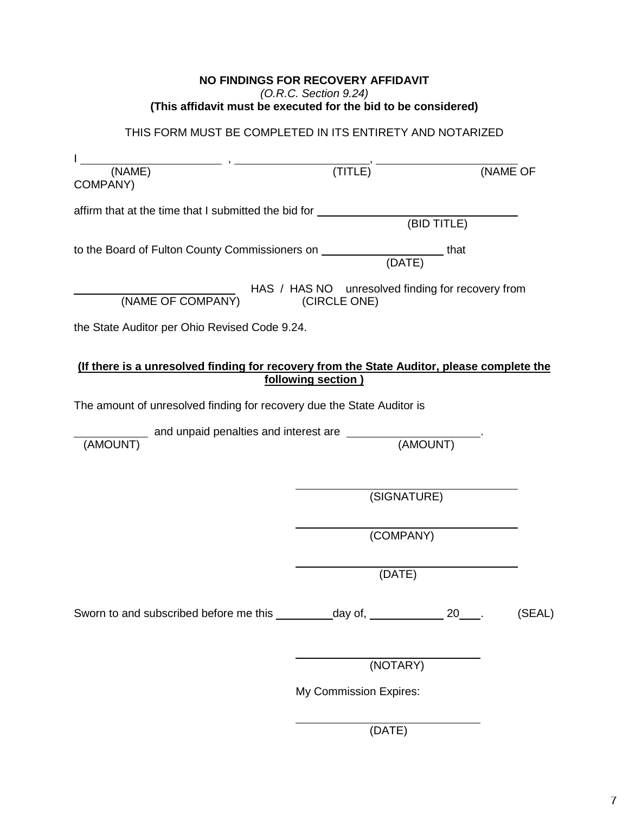## **NO FINDINGS FOR RECOVERY AFFIDAVIT** *(O.R.C. Section 9.24)* **(This affidavit must be executed for the bid to be considered)**

THIS FORM MUST BE COMPLETED IN ITS ENTIRETY AND NOTARIZED

| $\overline{\text{(NAME)}}$ , $\overline{\text{}}$                                                  |                                                                   |             |        |  |
|----------------------------------------------------------------------------------------------------|-------------------------------------------------------------------|-------------|--------|--|
| COMPANY)                                                                                           | (TITLE)                                                           | (NAME OF    |        |  |
| affirm that at the time that I submitted the bid for ___________                                   |                                                                   | (BID TITLE) |        |  |
| to the Board of Fulton County Commissioners on ____________________________that                    |                                                                   |             |        |  |
| HAS / HAS / HAS / HAS / HAS / HAS / HAS / HAS / HAS / HAS / HAS / HAS / HAS / HAS / HAS / HAS 2012 | HAS / HAS NO unresolved finding for recovery from<br>(CIRCLE ONE) |             |        |  |
| the State Auditor per Ohio Revised Code 9.24.                                                      |                                                                   |             |        |  |
| (If there is a unresolved finding for recovery from the State Auditor, please complete the         | following section)                                                |             |        |  |
| The amount of unresolved finding for recovery due the State Auditor is                             |                                                                   |             |        |  |
| and unpaid penalties and interest are _______<br>(AMOUNT)<br>(AMOUNT)                              |                                                                   |             |        |  |
|                                                                                                    | (SIGNATURE)                                                       |             |        |  |
|                                                                                                    | (COMPANY)                                                         |             |        |  |
|                                                                                                    | (DATE)                                                            |             |        |  |
| Sworn to and subscribed before me this __________day of, ______________ 20____.                    |                                                                   |             | (SEAL) |  |
|                                                                                                    | (NOTARY)                                                          |             |        |  |
|                                                                                                    | My Commission Expires:                                            |             |        |  |

(DATE)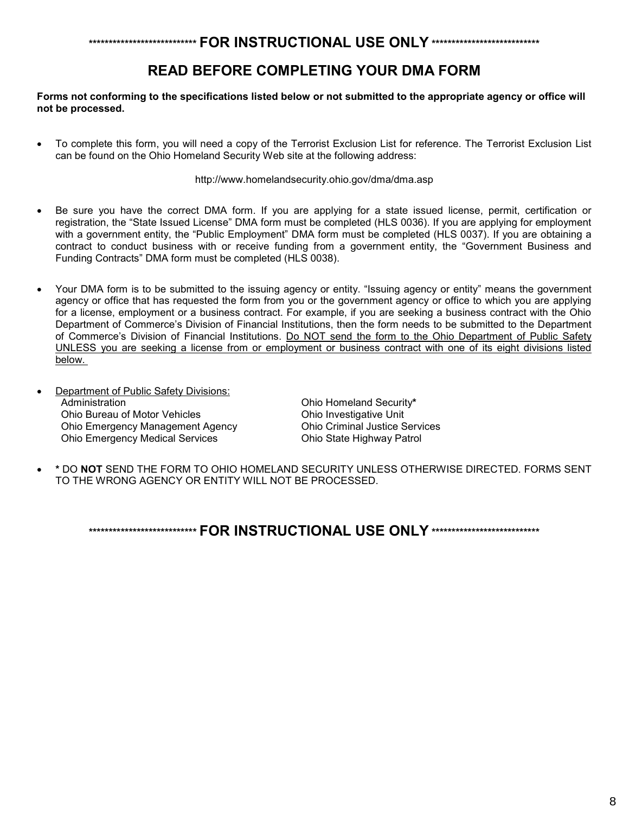## **\*\*\*\*\*\*\*\*\*\*\*\*\*\*\*\*\*\*\*\*\*\*\*\*\*\*\* FOR INSTRUCTIONAL USE ONLY \*\*\*\*\*\*\*\*\*\*\*\*\*\*\*\*\*\*\*\*\*\*\*\*\*\*\***

# **READ BEFORE COMPLETING YOUR DMA FORM**

#### **Forms not conforming to the specifications listed below or not submitted to the appropriate agency or office will not be processed.**

• To complete this form, you will need a copy of the Terrorist Exclusion List for reference. The Terrorist Exclusion List can be found on the Ohio Homeland Security Web site at the following address:

http://www.homelandsecurity.ohio.gov/dma/dma.asp

- Be sure you have the correct DMA form. If you are applying for a state issued license, permit, certification or registration, the "State Issued License" DMA form must be completed (HLS 0036). If you are applying for employment with a government entity, the "Public Employment" DMA form must be completed (HLS 0037). If you are obtaining a contract to conduct business with or receive funding from a government entity, the "Government Business and Funding Contracts" DMA form must be completed (HLS 0038).
- Your DMA form is to be submitted to the issuing agency or entity. "Issuing agency or entity" means the government agency or office that has requested the form from you or the government agency or office to which you are applying for a license, employment or a business contract. For example, if you are seeking a business contract with the Ohio Department of Commerce's Division of Financial Institutions, then the form needs to be submitted to the Department of Commerce's Division of Financial Institutions. Do NOT send the form to the Ohio Department of Public Safety UNLESS you are seeking a license from or employment or business contract with one of its eight divisions listed below.
- Department of Public Safety Divisions: **Administration** Ohio Bureau of Motor Vehicles Ohio Emergency Management Agency Ohio Emergency Medical Services

Ohio Homeland Security**\*** Ohio Investigative Unit Ohio Criminal Justice Services Ohio State Highway Patrol

• **\*** DO **NOT** SEND THE FORM TO OHIO HOMELAND SECURITY UNLESS OTHERWISE DIRECTED. FORMS SENT TO THE WRONG AGENCY OR ENTITY WILL NOT BE PROCESSED.

**\*\*\*\*\*\*\*\*\*\*\*\*\*\*\*\*\*\*\*\*\*\*\*\*\*\*\* FOR INSTRUCTIONAL USE ONLY \*\*\*\*\*\*\*\*\*\*\*\*\*\*\*\*\*\*\*\*\*\*\*\*\*\*\***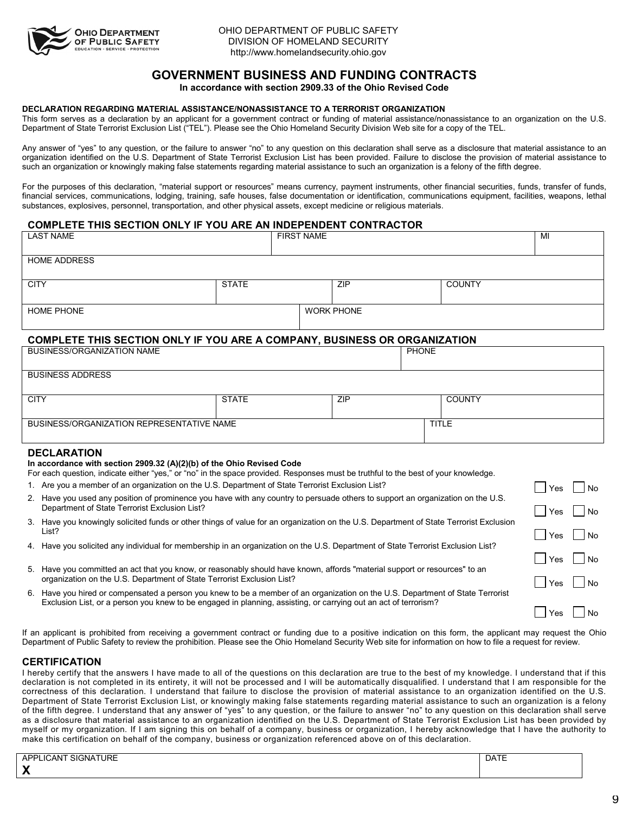

## **GOVERNMENT BUSINESS AND FUNDING CONTRACTS**

**In accordance with section 2909.33 of the Ohio Revised Code**

#### **DECLARATION REGARDING MATERIAL ASSISTANCE/NONASSISTANCE TO A TERRORIST ORGANIZATION**

This form serves as a declaration by an applicant for a government contract or funding of material assistance/nonassistance to an organization on the U.S. Department of State Terrorist Exclusion List ("TEL"). Please see the Ohio Homeland Security Division Web site for a copy of the TEL.

Any answer of "yes" to any question, or the failure to answer "no" to any question on this declaration shall serve as a disclosure that material assistance to an organization identified on the U.S. Department of State Terrorist Exclusion List has been provided. Failure to disclose the provision of material assistance to such an organization or knowingly making false statements regarding material assistance to such an organization is a felony of the fifth degree.

For the purposes of this declaration, "material support or resources" means currency, payment instruments, other financial securities, funds, transfer of funds, financial services, communications, lodging, training, safe houses, false documentation or identification, communications equipment, facilities, weapons, lethal substances, explosives, personnel, transportation, and other physical assets, except medicine or religious materials.

#### **COMPLETE THIS SECTION ONLY IF YOU ARE AN INDEPENDENT CONTRACTOR** LAST NAME

|                                                                                                                                                                                                                                   | <b>LAST NAME</b><br><b>FIRST NAME</b>                                                                                                                                                                                                             |              |  | MI                |                             |               |  |  |
|-----------------------------------------------------------------------------------------------------------------------------------------------------------------------------------------------------------------------------------|---------------------------------------------------------------------------------------------------------------------------------------------------------------------------------------------------------------------------------------------------|--------------|--|-------------------|-----------------------------|---------------|--|--|
|                                                                                                                                                                                                                                   | <b>HOME ADDRESS</b>                                                                                                                                                                                                                               |              |  |                   |                             |               |  |  |
| <b>CITY</b>                                                                                                                                                                                                                       |                                                                                                                                                                                                                                                   | <b>STATE</b> |  | ZIP               |                             | <b>COUNTY</b> |  |  |
|                                                                                                                                                                                                                                   | <b>HOME PHONE</b>                                                                                                                                                                                                                                 |              |  | <b>WORK PHONE</b> |                             |               |  |  |
|                                                                                                                                                                                                                                   | <b>COMPLETE THIS SECTION ONLY IF YOU ARE A COMPANY, BUSINESS OR ORGANIZATION</b>                                                                                                                                                                  |              |  |                   |                             |               |  |  |
|                                                                                                                                                                                                                                   | BUSINESS/ORGANIZATION NAME                                                                                                                                                                                                                        |              |  |                   | <b>PHONE</b>                |               |  |  |
|                                                                                                                                                                                                                                   | <b>BUSINESS ADDRESS</b>                                                                                                                                                                                                                           |              |  |                   |                             |               |  |  |
| <b>CITY</b>                                                                                                                                                                                                                       |                                                                                                                                                                                                                                                   | <b>STATE</b> |  | <b>ZIP</b>        |                             | <b>COUNTY</b> |  |  |
| BUSINESS/ORGANIZATION REPRESENTATIVE NAME<br><b>TITLE</b>                                                                                                                                                                         |                                                                                                                                                                                                                                                   |              |  |                   |                             |               |  |  |
| <b>DECLARATION</b><br>In accordance with section 2909.32 (A)(2)(b) of the Ohio Revised Code<br>For each question, indicate either "yes," or "no" in the space provided. Responses must be truthful to the best of your knowledge. |                                                                                                                                                                                                                                                   |              |  |                   |                             |               |  |  |
| 1. Are you a member of an organization on the U.S. Department of State Terrorist Exclusion List?                                                                                                                                  |                                                                                                                                                                                                                                                   |              |  | Yes               | l No                        |               |  |  |
| 2. Have you used any position of prominence you have with any country to persuade others to support an organization on the U.S.<br>Department of State Terrorist Exclusion List?                                                  |                                                                                                                                                                                                                                                   |              |  |                   | Yes                         | <b>No</b>     |  |  |
|                                                                                                                                                                                                                                   | 3. Have you knowingly solicited funds or other things of value for an organization on the U.S. Department of State Terrorist Exclusion<br>List?                                                                                                   |              |  |                   | Yes                         | <b>No</b>     |  |  |
|                                                                                                                                                                                                                                   | 4. Have you solicited any individual for membership in an organization on the U.S. Department of State Terrorist Exclusion List?                                                                                                                  |              |  |                   |                             |               |  |  |
| 5. Have you committed an act that you know, or reasonably should have known, affords "material support or resources" to an<br>organization on the U.S. Department of State Terrorist Exclusion List?                              |                                                                                                                                                                                                                                                   |              |  | Yes<br>Yes        | N <sub>o</sub><br><b>No</b> |               |  |  |
|                                                                                                                                                                                                                                   | 6. Have you hired or compensated a person you knew to be a member of an organization on the U.S. Department of State Terrorist<br>Exclusion List, or a person you knew to be engaged in planning, assisting, or carrying out an act of terrorism? |              |  |                   |                             |               |  |  |

If an applicant is prohibited from receiving a government contract or funding due to a positive indication on this form, the applicant may request the Ohio Department of Public Safety to review the prohibition. Please see the Ohio Homeland Security Web site for information on how to file a request for review.

#### **CERTIFICATION**

I hereby certify that the answers I have made to all of the questions on this declaration are true to the best of my knowledge. I understand that if this declaration is not completed in its entirety, it will not be processed and I will be automatically disqualified. I understand that I am responsible for the correctness of this declaration. I understand that failure to disclose the provision of material assistance to an organization identified on the U.S. Department of State Terrorist Exclusion List, or knowingly making false statements regarding material assistance to such an organization is a felony of the fifth degree. I understand that any answer of "yes" to any question, or the failure to answer "no" to any question on this declaration shall serve as a disclosure that material assistance to an organization identified on the U.S. Department of State Terrorist Exclusion List has been provided by myself or my organization. If I am signing this on behalf of a company, business or organization, I hereby acknowledge that I have the authority to make this certification on behalf of the company, business or organization referenced above on of this declaration.

| URE<br>$\mathsf{u}$ of SIGNATT<br>$\cdots$<br><b>APF</b><br>CAN' | $- - -$<br>. . |
|------------------------------------------------------------------|----------------|
| $\overline{\mathbf{v}}$<br>́                                     |                |

 $7$  Yes  $1$  No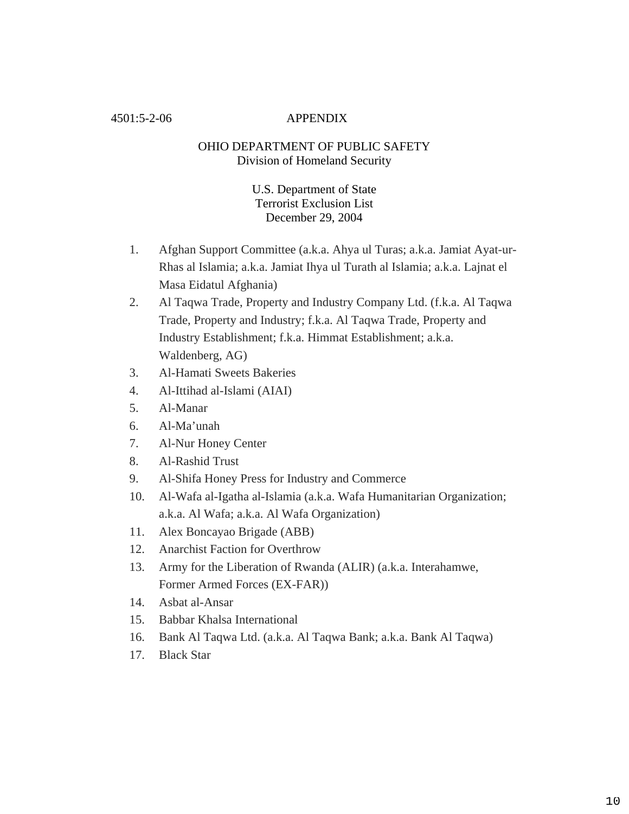### 4501:5-2-06 APPENDIX

## OHIO DEPARTMENT OF PUBLIC SAFETY Division of Homeland Security

## U.S. Department of State Terrorist Exclusion List December 29, 2004

- 1. Afghan Support Committee (a.k.a. Ahya ul Turas; a.k.a. Jamiat Ayat-ur-Rhas al Islamia; a.k.a. Jamiat Ihya ul Turath al Islamia; a.k.a. Lajnat el Masa Eidatul Afghania)
- 2. Al Taqwa Trade, Property and Industry Company Ltd. (f.k.a. Al Taqwa Trade, Property and Industry; f.k.a. Al Taqwa Trade, Property and Industry Establishment; f.k.a. Himmat Establishment; a.k.a. Waldenberg, AG)
- 3. Al-Hamati Sweets Bakeries
- 4. Al-Ittihad al-Islami (AIAI)
- 5. Al-Manar
- 6. Al-Ma'unah
- 7. Al-Nur Honey Center
- 8. Al-Rashid Trust
- 9. Al-Shifa Honey Press for Industry and Commerce
- 10. Al-Wafa al-Igatha al-Islamia (a.k.a. Wafa Humanitarian Organization; a.k.a. Al Wafa; a.k.a. Al Wafa Organization)
- 11. Alex Boncayao Brigade (ABB)
- 12. Anarchist Faction for Overthrow
- 13. Army for the Liberation of Rwanda (ALIR) (a.k.a. Interahamwe, Former Armed Forces (EX-FAR))
- 14. Asbat al-Ansar
- 15. Babbar Khalsa International
- 16. Bank Al Taqwa Ltd. (a.k.a. Al Taqwa Bank; a.k.a. Bank Al Taqwa)
- 17. Black Star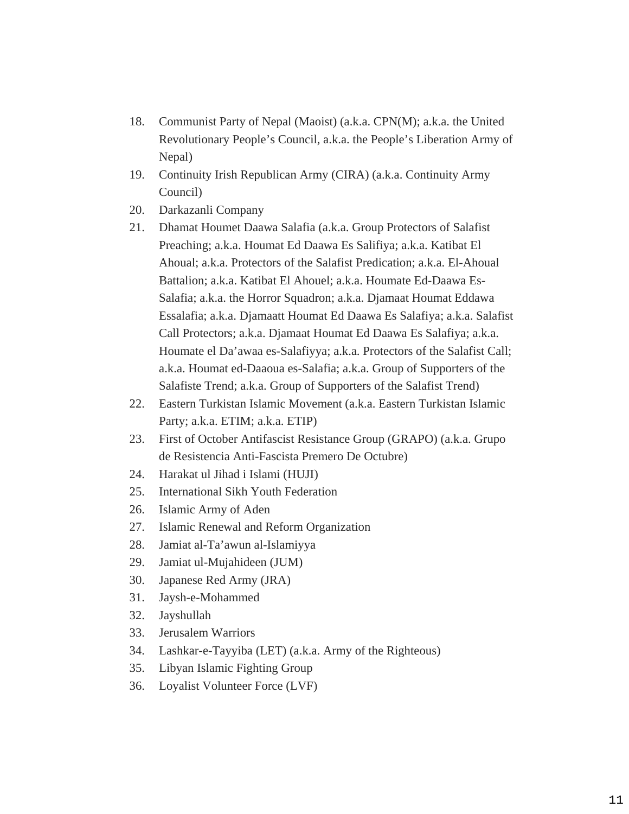- 18. Communist Party of Nepal (Maoist) (a.k.a. CPN(M); a.k.a. the United Revolutionary People's Council, a.k.a. the People's Liberation Army of Nepal)
- 19. Continuity Irish Republican Army (CIRA) (a.k.a. Continuity Army Council)
- 20. Darkazanli Company
- 21. Dhamat Houmet Daawa Salafia (a.k.a. Group Protectors of Salafist Preaching; a.k.a. Houmat Ed Daawa Es Salifiya; a.k.a. Katibat El Ahoual; a.k.a. Protectors of the Salafist Predication; a.k.a. El-Ahoual Battalion; a.k.a. Katibat El Ahouel; a.k.a. Houmate Ed-Daawa Es-Salafia; a.k.a. the Horror Squadron; a.k.a. Djamaat Houmat Eddawa Essalafia; a.k.a. Djamaatt Houmat Ed Daawa Es Salafiya; a.k.a. Salafist Call Protectors; a.k.a. Djamaat Houmat Ed Daawa Es Salafiya; a.k.a. Houmate el Da'awaa es-Salafiyya; a.k.a. Protectors of the Salafist Call; a.k.a. Houmat ed-Daaoua es-Salafia; a.k.a. Group of Supporters of the Salafiste Trend; a.k.a. Group of Supporters of the Salafist Trend)
- 22. Eastern Turkistan Islamic Movement (a.k.a. Eastern Turkistan Islamic Party; a.k.a. ETIM; a.k.a. ETIP)
- 23. First of October Antifascist Resistance Group (GRAPO) (a.k.a. Grupo de Resistencia Anti-Fascista Premero De Octubre)
- 24. Harakat ul Jihad i Islami (HUJI)
- 25. International Sikh Youth Federation
- 26. Islamic Army of Aden
- 27. Islamic Renewal and Reform Organization
- 28. Jamiat al-Ta'awun al-Islamiyya
- 29. Jamiat ul-Mujahideen (JUM)
- 30. Japanese Red Army (JRA)
- 31. Jaysh-e-Mohammed
- 32. Jayshullah
- 33. Jerusalem Warriors
- 34. Lashkar-e-Tayyiba (LET) (a.k.a. Army of the Righteous)
- 35. Libyan Islamic Fighting Group
- 36. Loyalist Volunteer Force (LVF)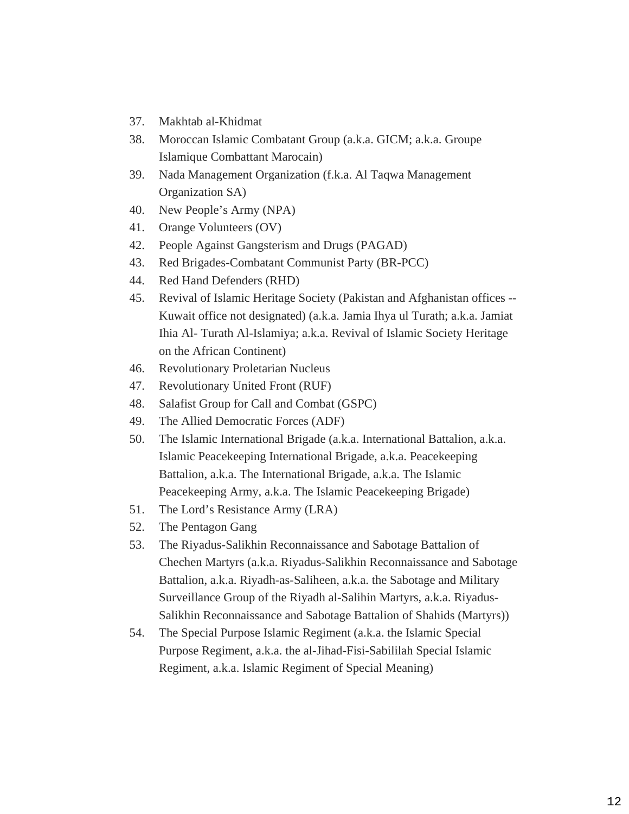- 37. Makhtab al-Khidmat
- 38. Moroccan Islamic Combatant Group (a.k.a. GICM; a.k.a. Groupe Islamique Combattant Marocain)
- 39. Nada Management Organization (f.k.a. Al Taqwa Management Organization SA)
- 40. New People's Army (NPA)
- 41. Orange Volunteers (OV)
- 42. People Against Gangsterism and Drugs (PAGAD)
- 43. Red Brigades-Combatant Communist Party (BR-PCC)
- 44. Red Hand Defenders (RHD)
- 45. Revival of Islamic Heritage Society (Pakistan and Afghanistan offices -- Kuwait office not designated) (a.k.a. Jamia Ihya ul Turath; a.k.a. Jamiat Ihia Al- Turath Al-Islamiya; a.k.a. Revival of Islamic Society Heritage on the African Continent)
- 46. Revolutionary Proletarian Nucleus
- 47. Revolutionary United Front (RUF)
- 48. Salafist Group for Call and Combat (GSPC)
- 49. The Allied Democratic Forces (ADF)
- 50. The Islamic International Brigade (a.k.a. International Battalion, a.k.a. Islamic Peacekeeping International Brigade, a.k.a. Peacekeeping Battalion, a.k.a. The International Brigade, a.k.a. The Islamic Peacekeeping Army, a.k.a. The Islamic Peacekeeping Brigade)
- 51. The Lord's Resistance Army (LRA)
- 52. The Pentagon Gang
- 53. The Riyadus-Salikhin Reconnaissance and Sabotage Battalion of Chechen Martyrs (a.k.a. Riyadus-Salikhin Reconnaissance and Sabotage Battalion, a.k.a. Riyadh-as-Saliheen, a.k.a. the Sabotage and Military Surveillance Group of the Riyadh al-Salihin Martyrs, a.k.a. Riyadus-Salikhin Reconnaissance and Sabotage Battalion of Shahids (Martyrs))
- 54. The Special Purpose Islamic Regiment (a.k.a. the Islamic Special Purpose Regiment, a.k.a. the al-Jihad-Fisi-Sabililah Special Islamic Regiment, a.k.a. Islamic Regiment of Special Meaning)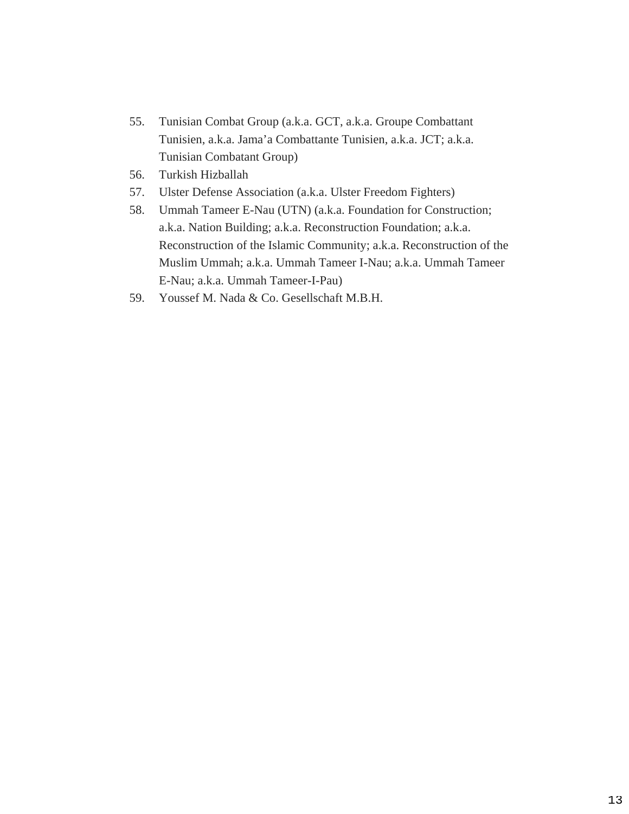- 55. Tunisian Combat Group (a.k.a. GCT, a.k.a. Groupe Combattant Tunisien, a.k.a. Jama'a Combattante Tunisien, a.k.a. JCT; a.k.a. Tunisian Combatant Group)
- 56. Turkish Hizballah
- 57. Ulster Defense Association (a.k.a. Ulster Freedom Fighters)
- 58. Ummah Tameer E-Nau (UTN) (a.k.a. Foundation for Construction; a.k.a. Nation Building; a.k.a. Reconstruction Foundation; a.k.a. Reconstruction of the Islamic Community; a.k.a. Reconstruction of the Muslim Ummah; a.k.a. Ummah Tameer I-Nau; a.k.a. Ummah Tameer E-Nau; a.k.a. Ummah Tameer-I-Pau)
- 59. Youssef M. Nada & Co. Gesellschaft M.B.H.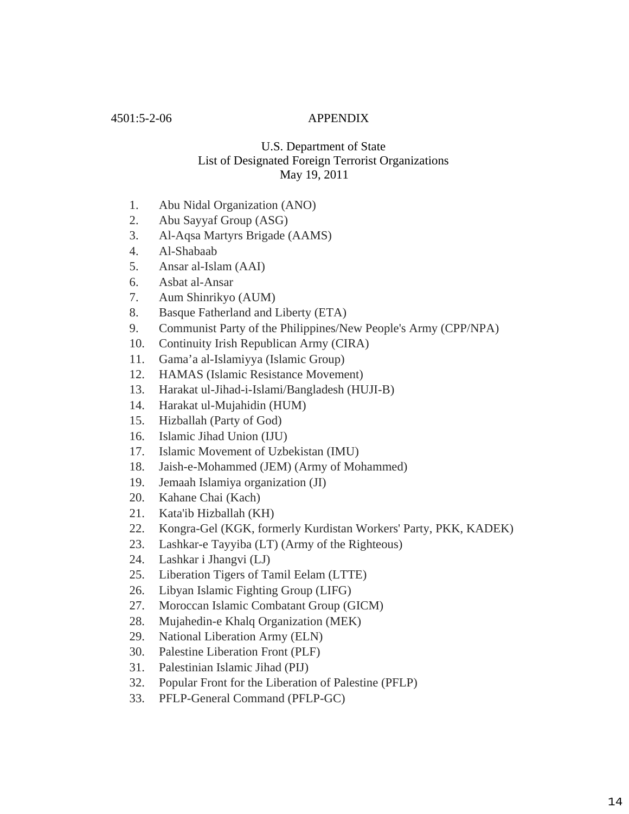### 4501:5-2-06 APPENDIX

## U.S. Department of State List of Designated Foreign Terrorist Organizations May 19, 2011

- 1. Abu Nidal Organization (ANO)
- 2. Abu Sayyaf Group (ASG)
- 3. Al-Aqsa Martyrs Brigade (AAMS)
- 4. Al-Shabaab
- 5. Ansar al-Islam (AAI)
- 6. Asbat al-Ansar
- 7. Aum Shinrikyo (AUM)
- 8. Basque Fatherland and Liberty (ETA)
- 9. Communist Party of the Philippines/New People's Army (CPP/NPA)
- 10. Continuity Irish Republican Army (CIRA)
- 11. Gama'a al-Islamiyya (Islamic Group)
- 12. HAMAS (Islamic Resistance Movement)
- 13. Harakat ul-Jihad-i-Islami/Bangladesh (HUJI-B)
- 14. Harakat ul-Mujahidin (HUM)
- 15. Hizballah (Party of God)
- 16. Islamic Jihad Union (IJU)
- 17. Islamic Movement of Uzbekistan (IMU)
- 18. Jaish-e-Mohammed (JEM) (Army of Mohammed)
- 19. Jemaah Islamiya organization (JI)
- 20. Kahane Chai (Kach)
- 21. Kata'ib Hizballah (KH)
- 22. Kongra-Gel (KGK, formerly Kurdistan Workers' Party, PKK, KADEK)
- 23. Lashkar-e Tayyiba (LT) (Army of the Righteous)
- 24. Lashkar i Jhangvi (LJ)
- 25. Liberation Tigers of Tamil Eelam (LTTE)
- 26. Libyan Islamic Fighting Group (LIFG)
- 27. Moroccan Islamic Combatant Group (GICM)
- 28. Mujahedin-e Khalq Organization (MEK)
- 29. National Liberation Army (ELN)
- 30. Palestine Liberation Front (PLF)
- 31. Palestinian Islamic Jihad (PIJ)
- 32. Popular Front for the Liberation of Palestine (PFLP)
- 33. PFLP-General Command (PFLP-GC)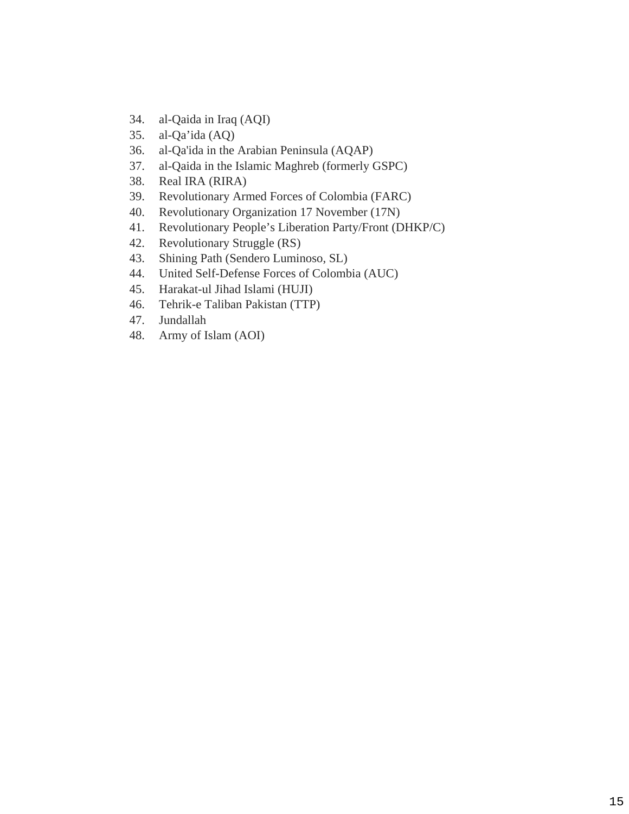- 34. al-Qaida in Iraq (AQI)
- 35. al-Qa'ida (AQ)
- 36. al-Qa'ida in the Arabian Peninsula (AQAP)
- 37. al-Qaida in the Islamic Maghreb (formerly GSPC)
- 38. Real IRA (RIRA)
- 39. Revolutionary Armed Forces of Colombia (FARC)
- 40. Revolutionary Organization 17 November (17N)
- 41. Revolutionary People's Liberation Party/Front (DHKP/C)
- 42. Revolutionary Struggle (RS)
- 43. Shining Path (Sendero Luminoso, SL)
- 44. United Self-Defense Forces of Colombia (AUC)
- 45. Harakat-ul Jihad Islami (HUJI)
- 46. Tehrik-e Taliban Pakistan (TTP)
- 47. Jundallah
- 48. Army of Islam (AOI)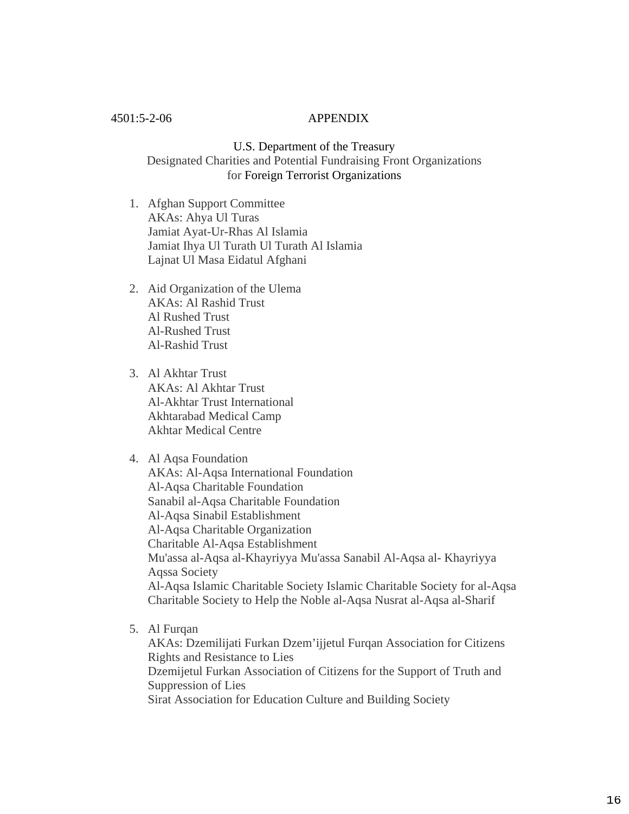### 4501:5-2-06 APPENDIX

U.S. Department of the Treasury Designated Charities and Potential Fundraising Front Organizations for Foreign Terrorist Organizations

- 1. Afghan Support Committee AKAs: Ahya Ul Turas Jamiat Ayat-Ur-Rhas Al Islamia Jamiat Ihya Ul Turath Ul Turath Al Islamia Lajnat Ul Masa Eidatul Afghani
- 2. Aid Organization of the Ulema AKAs: Al Rashid Trust Al Rushed Trust Al-Rushed Trust Al-Rashid Trust
- 3. Al Akhtar Trust AKAs: Al Akhtar Trust Al-Akhtar Trust International Akhtarabad Medical Camp Akhtar Medical Centre

#### 4. Al Aqsa Foundation

AKAs: Al-Aqsa International Foundation Al-Aqsa Charitable Foundation Sanabil al-Aqsa Charitable Foundation Al-Aqsa Sinabil Establishment Al-Aqsa Charitable Organization Charitable Al-Aqsa Establishment Mu'assa al-Aqsa al-Khayriyya Mu'assa Sanabil Al-Aqsa al- Khayriyya Aqssa Society Al-Aqsa Islamic Charitable Society Islamic Charitable Society for al-Aqsa Charitable Society to Help the Noble al-Aqsa Nusrat al-Aqsa al-Sharif

5. Al Furqan

AKAs: Dzemilijati Furkan Dzem'ijjetul Furqan Association for Citizens Rights and Resistance to Lies Dzemijetul Furkan Association of Citizens for the Support of Truth and Suppression of Lies Sirat Association for Education Culture and Building Society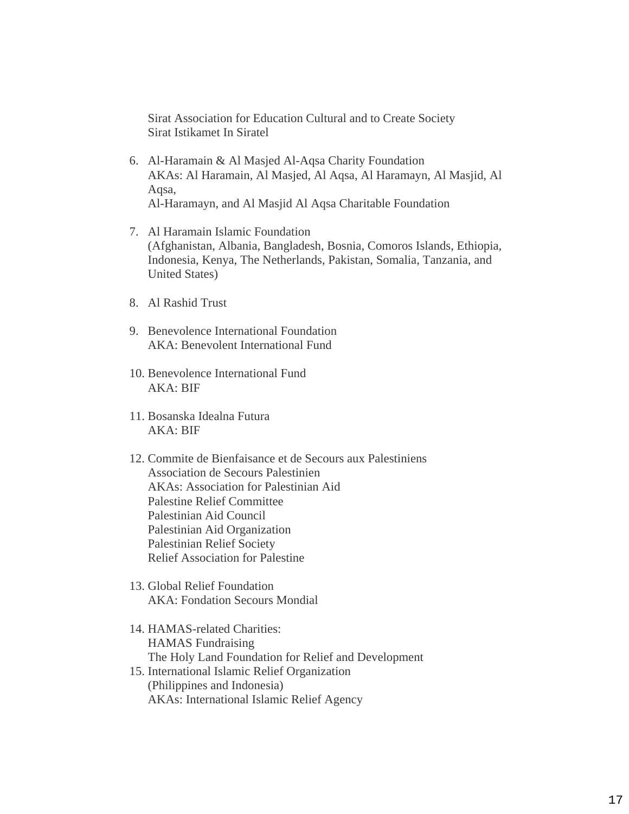Sirat Association for Education Cultural and to Create Society Sirat Istikamet In Siratel

- 6. Al-Haramain & Al Masjed Al-Aqsa Charity Foundation AKAs: Al Haramain, Al Masjed, Al Aqsa, Al Haramayn, Al Masjid, Al Aqsa, Al-Haramayn, and Al Masjid Al Aqsa Charitable Foundation
- 7. Al Haramain Islamic Foundation (Afghanistan, Albania, Bangladesh, Bosnia, Comoros Islands, Ethiopia, Indonesia, Kenya, The Netherlands, Pakistan, Somalia, Tanzania, and United States)
- 8. Al Rashid Trust
- 9. Benevolence International Foundation AKA: Benevolent International Fund
- 10. Benevolence International Fund AKA: BIF
- 11. Bosanska Idealna Futura AKA: BIF
- 12. Commite de Bienfaisance et de Secours aux Palestiniens Association de Secours Palestinien AKAs: Association for Palestinian Aid Palestine Relief Committee Palestinian Aid Council Palestinian Aid Organization Palestinian Relief Society Relief Association for Palestine
- 13. Global Relief Foundation AKA: Fondation Secours Mondial
- 14. HAMAS-related Charities: HAMAS Fundraising The Holy Land Foundation for Relief and Development
- 15. International Islamic Relief Organization (Philippines and Indonesia) AKAs: International Islamic Relief Agency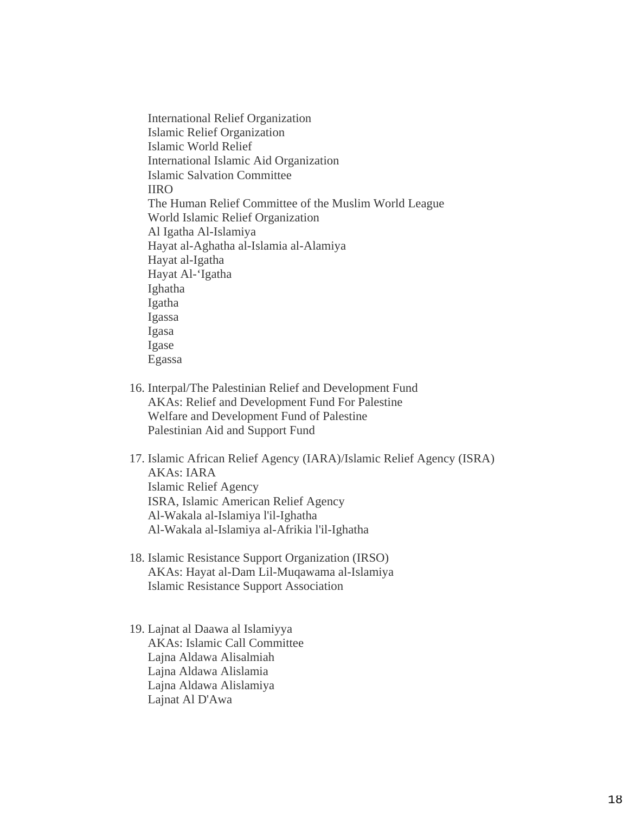International Relief Organization Islamic Relief Organization Islamic World Relief International Islamic Aid Organization Islamic Salvation Committee IIRO The Human Relief Committee of the Muslim World League World Islamic Relief Organization Al Igatha Al-Islamiya Hayat al-Aghatha al-Islamia al-Alamiya Hayat al-Igatha Hayat Al-'Igatha Ighatha Igatha Igassa Igasa Igase Egassa

- 16. Interpal/The Palestinian Relief and Development Fund AKAs: Relief and Development Fund For Palestine Welfare and Development Fund of Palestine Palestinian Aid and Support Fund
- 17. Islamic African Relief Agency (IARA)/Islamic Relief Agency (ISRA) AKAs: IARA Islamic Relief Agency ISRA, Islamic American Relief Agency Al-Wakala al-Islamiya l'il-Ighatha Al-Wakala al-Islamiya al-Afrikia l'il-Ighatha
- 18. Islamic Resistance Support Organization (IRSO) AKAs: Hayat al-Dam Lil-Muqawama al-Islamiya Islamic Resistance Support Association
- 19. Lajnat al Daawa al Islamiyya AKAs: Islamic Call Committee Lajna Aldawa Alisalmiah Lajna Aldawa Alislamia Lajna Aldawa Alislamiya Lajnat Al D'Awa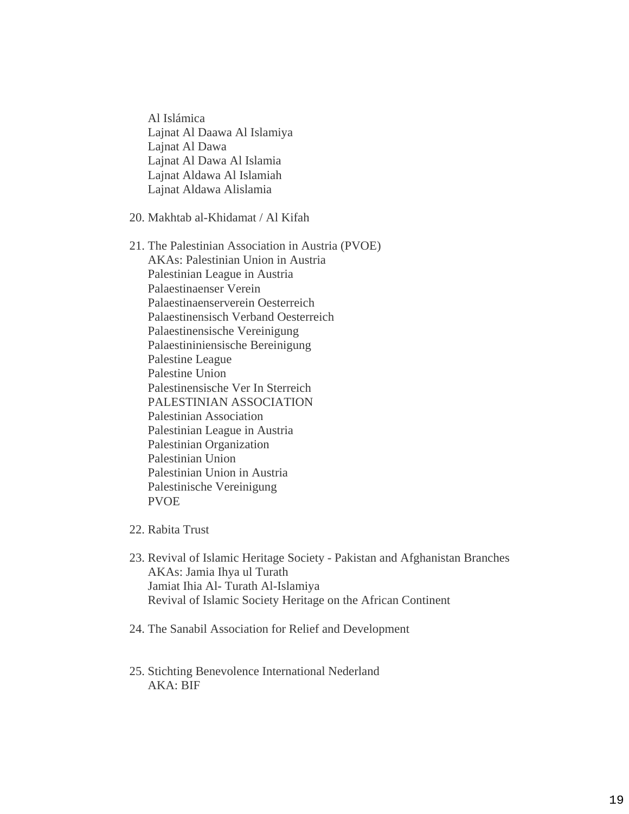Al Islámica Lajnat Al Daawa Al Islamiya Lajnat Al Dawa Lajnat Al Dawa Al Islamia Lajnat Aldawa Al Islamiah Lajnat Aldawa Alislamia

20. Makhtab al-Khidamat / Al Kifah

- 21. The Palestinian Association in Austria (PVOE) AKAs: Palestinian Union in Austria Palestinian League in Austria Palaestinaenser Verein Palaestinaenserverein Oesterreich Palaestinensisch Verband Oesterreich Palaestinensische Vereinigung Palaestininiensische Bereinigung Palestine League Palestine Union Palestinensische Ver In Sterreich PALESTINIAN ASSOCIATION Palestinian Association Palestinian League in Austria Palestinian Organization Palestinian Union Palestinian Union in Austria Palestinische Vereinigung PVOE
- 22. Rabita Trust
- 23. Revival of Islamic Heritage Society Pakistan and Afghanistan Branches AKAs: Jamia Ihya ul Turath Jamiat Ihia Al- Turath Al-Islamiya Revival of Islamic Society Heritage on the African Continent
- 24. The Sanabil Association for Relief and Development
- 25. Stichting Benevolence International Nederland AKA: BIF